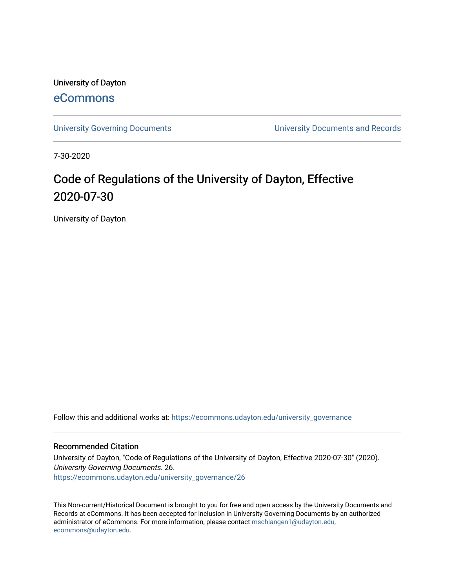University of Dayton [eCommons](https://ecommons.udayton.edu/)

[University Governing Documents](https://ecommons.udayton.edu/university_governance) [University Documents and Records](https://ecommons.udayton.edu/ud_documents) 

7-30-2020

# Code of Regulations of the University of Dayton, Effective 2020-07-30

University of Dayton

Follow this and additional works at: [https://ecommons.udayton.edu/university\\_governance](https://ecommons.udayton.edu/university_governance?utm_source=ecommons.udayton.edu%2Funiversity_governance%2F26&utm_medium=PDF&utm_campaign=PDFCoverPages) 

#### Recommended Citation

University of Dayton, "Code of Regulations of the University of Dayton, Effective 2020-07-30" (2020). University Governing Documents. 26. [https://ecommons.udayton.edu/university\\_governance/26](https://ecommons.udayton.edu/university_governance/26?utm_source=ecommons.udayton.edu%2Funiversity_governance%2F26&utm_medium=PDF&utm_campaign=PDFCoverPages)

This Non-current/Historical Document is brought to you for free and open access by the University Documents and Records at eCommons. It has been accepted for inclusion in University Governing Documents by an authorized administrator of eCommons. For more information, please contact [mschlangen1@udayton.edu,](mailto:mschlangen1@udayton.edu,%20ecommons@udayton.edu) [ecommons@udayton.edu](mailto:mschlangen1@udayton.edu,%20ecommons@udayton.edu).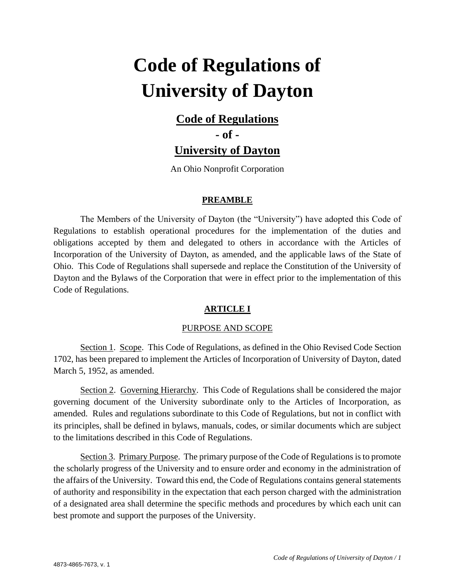# **Code of Regulations of University of Dayton**

# **Code of Regulations**

**- of -**

**University of Dayton**

An Ohio Nonprofit Corporation

# **PREAMBLE**

The Members of the University of Dayton (the "University") have adopted this Code of Regulations to establish operational procedures for the implementation of the duties and obligations accepted by them and delegated to others in accordance with the Articles of Incorporation of the University of Dayton, as amended, and the applicable laws of the State of Ohio. This Code of Regulations shall supersede and replace the Constitution of the University of Dayton and the Bylaws of the Corporation that were in effect prior to the implementation of this Code of Regulations.

# **ARTICLE I**

# PURPOSE AND SCOPE

Section 1. Scope. This Code of Regulations, as defined in the Ohio Revised Code Section 1702, has been prepared to implement the Articles of Incorporation of University of Dayton, dated March 5, 1952, as amended.

Section 2. Governing Hierarchy. This Code of Regulations shall be considered the major governing document of the University subordinate only to the Articles of Incorporation, as amended. Rules and regulations subordinate to this Code of Regulations, but not in conflict with its principles, shall be defined in bylaws, manuals, codes, or similar documents which are subject to the limitations described in this Code of Regulations.

Section 3. Primary Purpose. The primary purpose of the Code of Regulations is to promote the scholarly progress of the University and to ensure order and economy in the administration of the affairs of the University. Toward this end, the Code of Regulations contains general statements of authority and responsibility in the expectation that each person charged with the administration of a designated area shall determine the specific methods and procedures by which each unit can best promote and support the purposes of the University.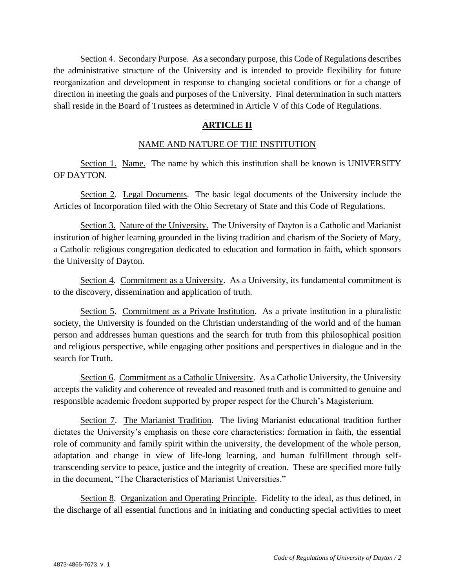Section 4. Secondary Purpose. As a secondary purpose, this Code of Regulations describes the administrative structure of the University and is intended to provide flexibility for future reorganization and development in response to changing societal conditions or for a change of direction in meeting the goals and purposes of the University. Final determination in such matters shall reside in the Board of Trustees as determined in Article V of this Code of Regulations.

# **ARTICLE II**

#### NAME AND NATURE OF THE INSTITUTION

Section 1. Name. The name by which this institution shall be known is UNIVERSITY OF DAYTON.

Section 2. Legal Documents. The basic legal documents of the University include the Articles of Incorporation filed with the Ohio Secretary of State and this Code of Regulations.

Section 3. Nature of the University. The University of Dayton is a Catholic and Marianist institution of higher learning grounded in the living tradition and charism of the Society of Mary, a Catholic religious congregation dedicated to education and formation in faith, which sponsors the University of Dayton.

Section 4. Commitment as a University. As a University, its fundamental commitment is to the discovery, dissemination and application of truth.

Section 5. Commitment as a Private Institution. As a private institution in a pluralistic society, the University is founded on the Christian understanding of the world and of the human person and addresses human questions and the search for truth from this philosophical position and religious perspective, while engaging other positions and perspectives in dialogue and in the search for Truth.

Section 6. Commitment as a Catholic University. As a Catholic University, the University accepts the validity and coherence of revealed and reasoned truth and is committed to genuine and responsible academic freedom supported by proper respect for the Church's Magisterium.

Section 7. The Marianist Tradition. The living Marianist educational tradition further dictates the University's emphasis on these core characteristics: formation in faith, the essential role of community and family spirit within the university, the development of the whole person, adaptation and change in view of life-long learning, and human fulfillment through selftranscending service to peace, justice and the integrity of creation. These are specified more fully in the document, "The Characteristics of Marianist Universities."

Section 8. Organization and Operating Principle. Fidelity to the ideal, as thus defined, in the discharge of all essential functions and in initiating and conducting special activities to meet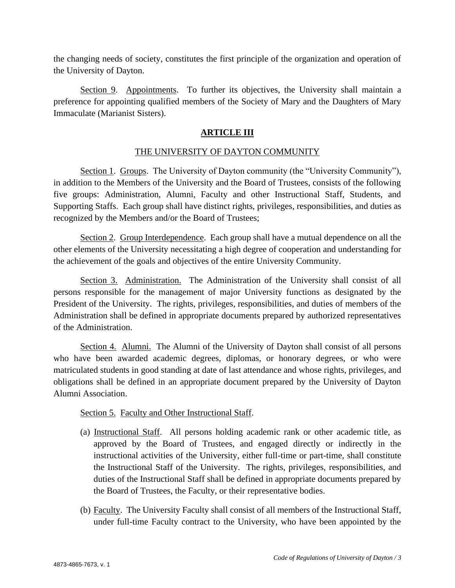the changing needs of society, constitutes the first principle of the organization and operation of the University of Dayton.

Section 9. Appointments. To further its objectives, the University shall maintain a preference for appointing qualified members of the Society of Mary and the Daughters of Mary Immaculate (Marianist Sisters).

#### **ARTICLE III**

#### THE UNIVERSITY OF DAYTON COMMUNITY

Section 1. Groups. The University of Dayton community (the "University Community"), in addition to the Members of the University and the Board of Trustees, consists of the following five groups: Administration, Alumni, Faculty and other Instructional Staff, Students, and Supporting Staffs. Each group shall have distinct rights, privileges, responsibilities, and duties as recognized by the Members and/or the Board of Trustees;

Section 2. Group Interdependence. Each group shall have a mutual dependence on all the other elements of the University necessitating a high degree of cooperation and understanding for the achievement of the goals and objectives of the entire University Community.

Section 3. Administration. The Administration of the University shall consist of all persons responsible for the management of major University functions as designated by the President of the University. The rights, privileges, responsibilities, and duties of members of the Administration shall be defined in appropriate documents prepared by authorized representatives of the Administration.

Section 4. Alumni. The Alumni of the University of Dayton shall consist of all persons who have been awarded academic degrees, diplomas, or honorary degrees, or who were matriculated students in good standing at date of last attendance and whose rights, privileges, and obligations shall be defined in an appropriate document prepared by the University of Dayton Alumni Association.

#### Section 5. Faculty and Other Instructional Staff.

- (a) Instructional Staff. All persons holding academic rank or other academic title, as approved by the Board of Trustees, and engaged directly or indirectly in the instructional activities of the University, either full-time or part-time, shall constitute the Instructional Staff of the University. The rights, privileges, responsibilities, and duties of the Instructional Staff shall be defined in appropriate documents prepared by the Board of Trustees, the Faculty, or their representative bodies.
- (b) Faculty. The University Faculty shall consist of all members of the Instructional Staff, under full-time Faculty contract to the University, who have been appointed by the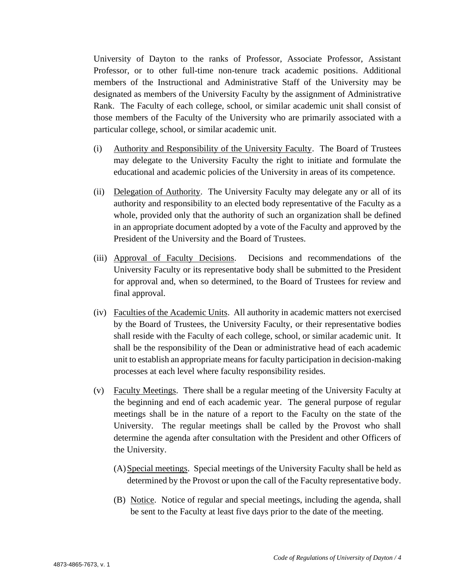University of Dayton to the ranks of Professor, Associate Professor, Assistant Professor, or to other full-time non-tenure track academic positions. Additional members of the Instructional and Administrative Staff of the University may be designated as members of the University Faculty by the assignment of Administrative Rank. The Faculty of each college, school, or similar academic unit shall consist of those members of the Faculty of the University who are primarily associated with a particular college, school, or similar academic unit.

- (i) Authority and Responsibility of the University Faculty. The Board of Trustees may delegate to the University Faculty the right to initiate and formulate the educational and academic policies of the University in areas of its competence.
- (ii) Delegation of Authority. The University Faculty may delegate any or all of its authority and responsibility to an elected body representative of the Faculty as a whole, provided only that the authority of such an organization shall be defined in an appropriate document adopted by a vote of the Faculty and approved by the President of the University and the Board of Trustees.
- (iii) Approval of Faculty Decisions. Decisions and recommendations of the University Faculty or its representative body shall be submitted to the President for approval and, when so determined, to the Board of Trustees for review and final approval.
- (iv) Faculties of the Academic Units. All authority in academic matters not exercised by the Board of Trustees, the University Faculty, or their representative bodies shall reside with the Faculty of each college, school, or similar academic unit. It shall be the responsibility of the Dean or administrative head of each academic unit to establish an appropriate means for faculty participation in decision-making processes at each level where faculty responsibility resides.
- (v) Faculty Meetings. There shall be a regular meeting of the University Faculty at the beginning and end of each academic year. The general purpose of regular meetings shall be in the nature of a report to the Faculty on the state of the University. The regular meetings shall be called by the Provost who shall determine the agenda after consultation with the President and other Officers of the University.
	- (A)Special meetings. Special meetings of the University Faculty shall be held as determined by the Provost or upon the call of the Faculty representative body.
	- (B) Notice. Notice of regular and special meetings, including the agenda, shall be sent to the Faculty at least five days prior to the date of the meeting.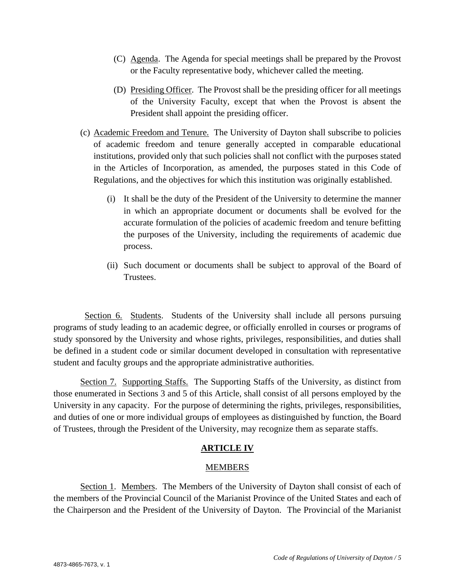- (C) Agenda. The Agenda for special meetings shall be prepared by the Provost or the Faculty representative body, whichever called the meeting.
- (D) Presiding Officer. The Provost shall be the presiding officer for all meetings of the University Faculty, except that when the Provost is absent the President shall appoint the presiding officer.
- (c) Academic Freedom and Tenure. The University of Dayton shall subscribe to policies of academic freedom and tenure generally accepted in comparable educational institutions, provided only that such policies shall not conflict with the purposes stated in the Articles of Incorporation, as amended, the purposes stated in this Code of Regulations, and the objectives for which this institution was originally established.
	- (i) It shall be the duty of the President of the University to determine the manner in which an appropriate document or documents shall be evolved for the accurate formulation of the policies of academic freedom and tenure befitting the purposes of the University, including the requirements of academic due process.
	- (ii) Such document or documents shall be subject to approval of the Board of Trustees.

Section 6. Students. Students of the University shall include all persons pursuing programs of study leading to an academic degree, or officially enrolled in courses or programs of study sponsored by the University and whose rights, privileges, responsibilities, and duties shall be defined in a student code or similar document developed in consultation with representative student and faculty groups and the appropriate administrative authorities.

Section 7. Supporting Staffs. The Supporting Staffs of the University, as distinct from those enumerated in Sections 3 and 5 of this Article, shall consist of all persons employed by the University in any capacity. For the purpose of determining the rights, privileges, responsibilities, and duties of one or more individual groups of employees as distinguished by function, the Board of Trustees, through the President of the University, may recognize them as separate staffs.

# **ARTICLE IV**

# MEMBERS

Section 1. Members. The Members of the University of Dayton shall consist of each of the members of the Provincial Council of the Marianist Province of the United States and each of the Chairperson and the President of the University of Dayton. The Provincial of the Marianist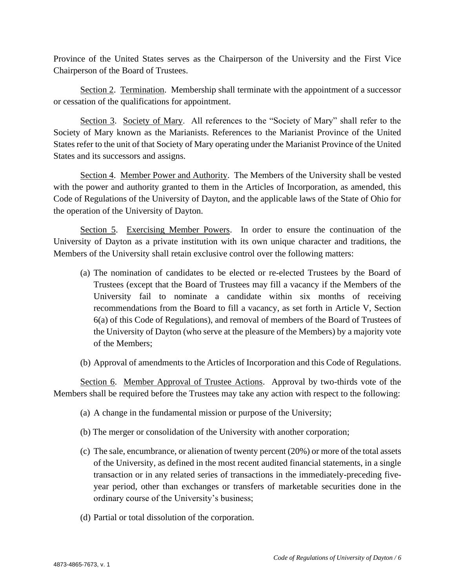Province of the United States serves as the Chairperson of the University and the First Vice Chairperson of the Board of Trustees.

Section 2. Termination. Membership shall terminate with the appointment of a successor or cessation of the qualifications for appointment.

Section 3. Society of Mary. All references to the "Society of Mary" shall refer to the Society of Mary known as the Marianists. References to the Marianist Province of the United States refer to the unit of that Society of Mary operating under the Marianist Province of the United States and its successors and assigns.

Section 4. Member Power and Authority. The Members of the University shall be vested with the power and authority granted to them in the Articles of Incorporation, as amended, this Code of Regulations of the University of Dayton, and the applicable laws of the State of Ohio for the operation of the University of Dayton.

Section 5. Exercising Member Powers. In order to ensure the continuation of the University of Dayton as a private institution with its own unique character and traditions, the Members of the University shall retain exclusive control over the following matters:

- (a) The nomination of candidates to be elected or re-elected Trustees by the Board of Trustees (except that the Board of Trustees may fill a vacancy if the Members of the University fail to nominate a candidate within six months of receiving recommendations from the Board to fill a vacancy, as set forth in Article V, Section 6(a) of this Code of Regulations), and removal of members of the Board of Trustees of the University of Dayton (who serve at the pleasure of the Members) by a majority vote of the Members;
- (b) Approval of amendments to the Articles of Incorporation and this Code of Regulations.

Section 6. Member Approval of Trustee Actions. Approval by two-thirds vote of the Members shall be required before the Trustees may take any action with respect to the following:

- (a) A change in the fundamental mission or purpose of the University;
- (b) The merger or consolidation of the University with another corporation;
- (c) The sale, encumbrance, or alienation of twenty percent (20%) or more of the total assets of the University, as defined in the most recent audited financial statements, in a single transaction or in any related series of transactions in the immediately-preceding fiveyear period, other than exchanges or transfers of marketable securities done in the ordinary course of the University's business;
- (d) Partial or total dissolution of the corporation.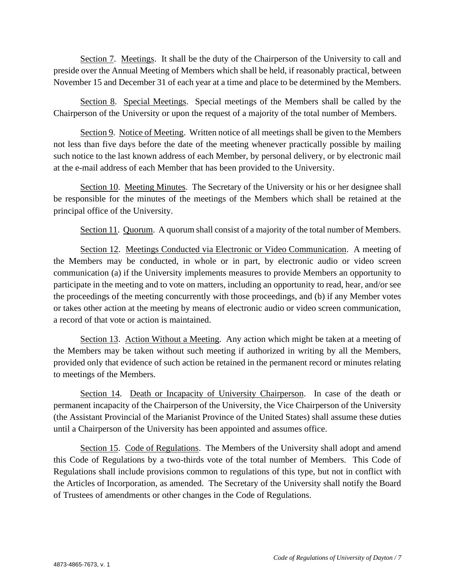Section 7. Meetings. It shall be the duty of the Chairperson of the University to call and preside over the Annual Meeting of Members which shall be held, if reasonably practical, between November 15 and December 31 of each year at a time and place to be determined by the Members.

Section 8. Special Meetings. Special meetings of the Members shall be called by the Chairperson of the University or upon the request of a majority of the total number of Members.

Section 9. Notice of Meeting. Written notice of all meetings shall be given to the Members not less than five days before the date of the meeting whenever practically possible by mailing such notice to the last known address of each Member, by personal delivery, or by electronic mail at the e-mail address of each Member that has been provided to the University.

Section 10. Meeting Minutes. The Secretary of the University or his or her designee shall be responsible for the minutes of the meetings of the Members which shall be retained at the principal office of the University.

Section 11. Quorum. A quorum shall consist of a majority of the total number of Members.

Section 12. Meetings Conducted via Electronic or Video Communication. A meeting of the Members may be conducted, in whole or in part, by electronic audio or video screen communication (a) if the University implements measures to provide Members an opportunity to participate in the meeting and to vote on matters, including an opportunity to read, hear, and/or see the proceedings of the meeting concurrently with those proceedings, and (b) if any Member votes or takes other action at the meeting by means of electronic audio or video screen communication, a record of that vote or action is maintained.

Section 13. Action Without a Meeting. Any action which might be taken at a meeting of the Members may be taken without such meeting if authorized in writing by all the Members, provided only that evidence of such action be retained in the permanent record or minutes relating to meetings of the Members.

Section 14. Death or Incapacity of University Chairperson. In case of the death or permanent incapacity of the Chairperson of the University, the Vice Chairperson of the University (the Assistant Provincial of the Marianist Province of the United States) shall assume these duties until a Chairperson of the University has been appointed and assumes office.

Section 15. Code of Regulations. The Members of the University shall adopt and amend this Code of Regulations by a two-thirds vote of the total number of Members. This Code of Regulations shall include provisions common to regulations of this type, but not in conflict with the Articles of Incorporation, as amended. The Secretary of the University shall notify the Board of Trustees of amendments or other changes in the Code of Regulations.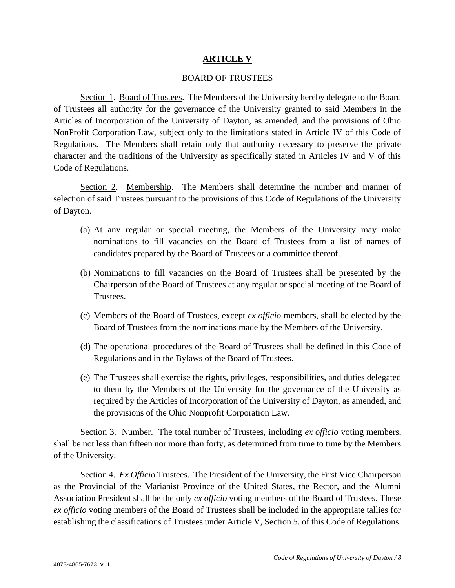#### **ARTICLE V**

#### BOARD OF TRUSTEES

Section 1. Board of Trustees. The Members of the University hereby delegate to the Board of Trustees all authority for the governance of the University granted to said Members in the Articles of Incorporation of the University of Dayton, as amended, and the provisions of Ohio NonProfit Corporation Law, subject only to the limitations stated in Article IV of this Code of Regulations. The Members shall retain only that authority necessary to preserve the private character and the traditions of the University as specifically stated in Articles IV and V of this Code of Regulations.

Section 2. Membership. The Members shall determine the number and manner of selection of said Trustees pursuant to the provisions of this Code of Regulations of the University of Dayton.

- (a) At any regular or special meeting, the Members of the University may make nominations to fill vacancies on the Board of Trustees from a list of names of candidates prepared by the Board of Trustees or a committee thereof.
- (b) Nominations to fill vacancies on the Board of Trustees shall be presented by the Chairperson of the Board of Trustees at any regular or special meeting of the Board of Trustees.
- (c) Members of the Board of Trustees, except *ex officio* members, shall be elected by the Board of Trustees from the nominations made by the Members of the University.
- (d) The operational procedures of the Board of Trustees shall be defined in this Code of Regulations and in the Bylaws of the Board of Trustees.
- (e) The Trustees shall exercise the rights, privileges, responsibilities, and duties delegated to them by the Members of the University for the governance of the University as required by the Articles of Incorporation of the University of Dayton, as amended, and the provisions of the Ohio Nonprofit Corporation Law.

Section 3. Number. The total number of Trustees, including *ex officio* voting members, shall be not less than fifteen nor more than forty, as determined from time to time by the Members of the University.

Section 4. *Ex Officio* Trustees. The President of the University, the First Vice Chairperson as the Provincial of the Marianist Province of the United States, the Rector, and the Alumni Association President shall be the only *ex officio* voting members of the Board of Trustees. These *ex officio* voting members of the Board of Trustees shall be included in the appropriate tallies for establishing the classifications of Trustees under Article V, Section 5. of this Code of Regulations.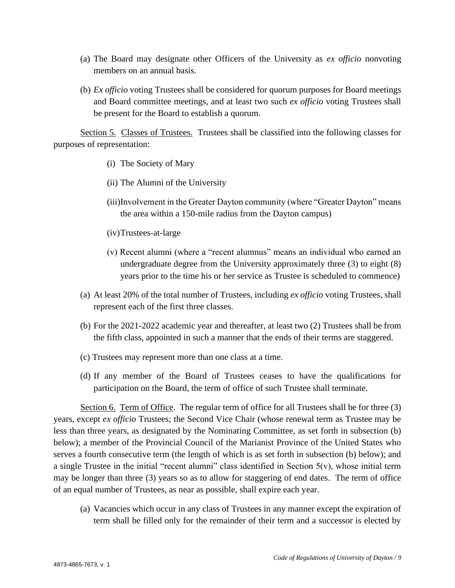- (a) The Board may designate other Officers of the University as *ex officio* nonvoting members on an annual basis.
- (b) *Ex officio* voting Trustees shall be considered for quorum purposes for Board meetings and Board committee meetings, and at least two such *ex officio* voting Trustees shall be present for the Board to establish a quorum.

Section 5. Classes of Trustees. Trustees shall be classified into the following classes for purposes of representation:

- (i) The Society of Mary
- (ii) The Alumni of the University
- (iii)Involvement in the Greater Dayton community (where "Greater Dayton" means the area within a 150-mile radius from the Dayton campus)
- (iv)Trustees-at-large
- (v) Recent alumni (where a "recent alumnus" means an individual who earned an undergraduate degree from the University approximately three (3) to eight (8) years prior to the time his or her service as Trustee is scheduled to commence)
- (a) At least 20% of the total number of Trustees, including *ex officio* voting Trustees, shall represent each of the first three classes.
- (b) For the 2021-2022 academic year and thereafter, at least two (2) Trustees shall be from the fifth class, appointed in such a manner that the ends of their terms are staggered.
- (c) Trustees may represent more than one class at a time.
- (d) If any member of the Board of Trustees ceases to have the qualifications for participation on the Board, the term of office of such Trustee shall terminate.

Section 6. Term of Office. The regular term of office for all Trustees shall be for three (3) years, except *ex officio* Trustees; the Second Vice Chair (whose renewal term as Trustee may be less than three years, as designated by the Nominating Committee, as set forth in subsection (b) below); a member of the Provincial Council of the Marianist Province of the United States who serves a fourth consecutive term (the length of which is as set forth in subsection (b) below); and a single Trustee in the initial "recent alumni" class identified in Section  $5(v)$ , whose initial term may be longer than three (3) years so as to allow for staggering of end dates. The term of office of an equal number of Trustees, as near as possible, shall expire each year.

(a) Vacancies which occur in any class of Trustees in any manner except the expiration of term shall be filled only for the remainder of their term and a successor is elected by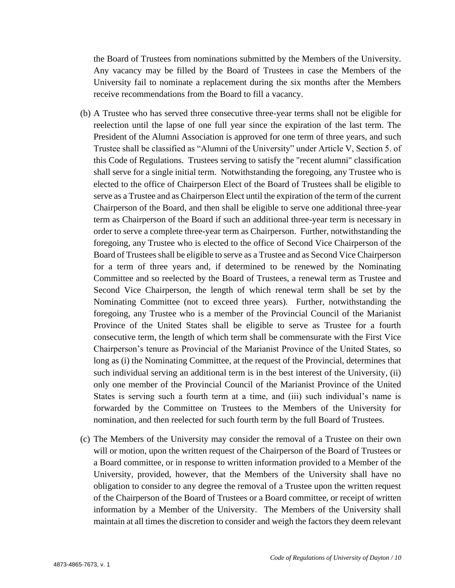the Board of Trustees from nominations submitted by the Members of the University. Any vacancy may be filled by the Board of Trustees in case the Members of the University fail to nominate a replacement during the six months after the Members receive recommendations from the Board to fill a vacancy.

- (b) A Trustee who has served three consecutive three-year terms shall not be eligible for reelection until the lapse of one full year since the expiration of the last term. The President of the Alumni Association is approved for one term of three years, and such Trustee shall be classified as "Alumni of the University" under Article V, Section 5. of this Code of Regulations. Trustees serving to satisfy the "recent alumni" classification shall serve for a single initial term. Notwithstanding the foregoing, any Trustee who is elected to the office of Chairperson Elect of the Board of Trustees shall be eligible to serve as a Trustee and as Chairperson Elect until the expiration of the term of the current Chairperson of the Board, and then shall be eligible to serve one additional three-year term as Chairperson of the Board if such an additional three-year term is necessary in order to serve a complete three-year term as Chairperson. Further, notwithstanding the foregoing, any Trustee who is elected to the office of Second Vice Chairperson of the Board of Trustees shall be eligible to serve as a Trustee and as Second Vice Chairperson for a term of three years and, if determined to be renewed by the Nominating Committee and so reelected by the Board of Trustees, a renewal term as Trustee and Second Vice Chairperson, the length of which renewal term shall be set by the Nominating Committee (not to exceed three years). Further, notwithstanding the foregoing, any Trustee who is a member of the Provincial Council of the Marianist Province of the United States shall be eligible to serve as Trustee for a fourth consecutive term, the length of which term shall be commensurate with the First Vice Chairperson's tenure as Provincial of the Marianist Province of the United States, so long as (i) the Nominating Committee, at the request of the Provincial, determines that such individual serving an additional term is in the best interest of the University, (ii) only one member of the Provincial Council of the Marianist Province of the United States is serving such a fourth term at a time, and (iii) such individual's name is forwarded by the Committee on Trustees to the Members of the University for nomination, and then reelected for such fourth term by the full Board of Trustees.
- (c) The Members of the University may consider the removal of a Trustee on their own will or motion, upon the written request of the Chairperson of the Board of Trustees or a Board committee, or in response to written information provided to a Member of the University, provided, however, that the Members of the University shall have no obligation to consider to any degree the removal of a Trustee upon the written request of the Chairperson of the Board of Trustees or a Board committee, or receipt of written information by a Member of the University. The Members of the University shall maintain at all times the discretion to consider and weigh the factors they deem relevant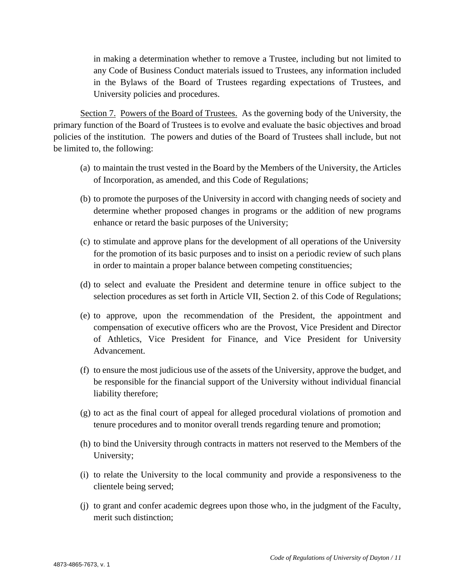in making a determination whether to remove a Trustee, including but not limited to any Code of Business Conduct materials issued to Trustees, any information included in the Bylaws of the Board of Trustees regarding expectations of Trustees, and University policies and procedures.

Section 7. Powers of the Board of Trustees. As the governing body of the University, the primary function of the Board of Trustees is to evolve and evaluate the basic objectives and broad policies of the institution. The powers and duties of the Board of Trustees shall include, but not be limited to, the following:

- (a) to maintain the trust vested in the Board by the Members of the University, the Articles of Incorporation, as amended, and this Code of Regulations;
- (b) to promote the purposes of the University in accord with changing needs of society and determine whether proposed changes in programs or the addition of new programs enhance or retard the basic purposes of the University;
- (c) to stimulate and approve plans for the development of all operations of the University for the promotion of its basic purposes and to insist on a periodic review of such plans in order to maintain a proper balance between competing constituencies;
- (d) to select and evaluate the President and determine tenure in office subject to the selection procedures as set forth in Article VII, Section 2. of this Code of Regulations;
- (e) to approve, upon the recommendation of the President, the appointment and compensation of executive officers who are the Provost, Vice President and Director of Athletics, Vice President for Finance, and Vice President for University Advancement.
- (f) to ensure the most judicious use of the assets of the University, approve the budget, and be responsible for the financial support of the University without individual financial liability therefore;
- (g) to act as the final court of appeal for alleged procedural violations of promotion and tenure procedures and to monitor overall trends regarding tenure and promotion;
- (h) to bind the University through contracts in matters not reserved to the Members of the University;
- (i) to relate the University to the local community and provide a responsiveness to the clientele being served;
- (j) to grant and confer academic degrees upon those who, in the judgment of the Faculty, merit such distinction;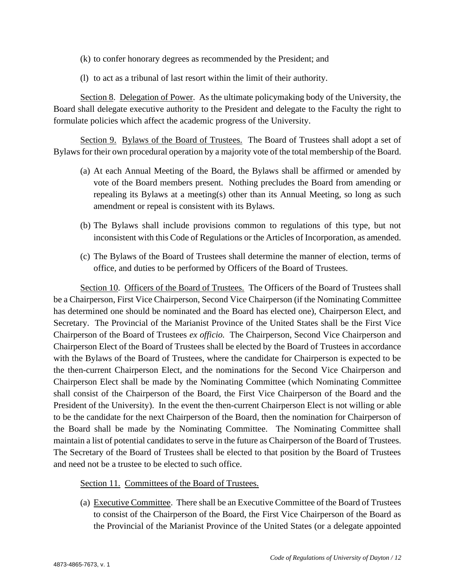- (k) to confer honorary degrees as recommended by the President; and
- (l) to act as a tribunal of last resort within the limit of their authority.

Section 8. Delegation of Power. As the ultimate policymaking body of the University, the Board shall delegate executive authority to the President and delegate to the Faculty the right to formulate policies which affect the academic progress of the University.

Section 9. Bylaws of the Board of Trustees. The Board of Trustees shall adopt a set of Bylaws for their own procedural operation by a majority vote of the total membership of the Board.

- (a) At each Annual Meeting of the Board, the Bylaws shall be affirmed or amended by vote of the Board members present. Nothing precludes the Board from amending or repealing its Bylaws at a meeting(s) other than its Annual Meeting, so long as such amendment or repeal is consistent with its Bylaws.
- (b) The Bylaws shall include provisions common to regulations of this type, but not inconsistent with this Code of Regulations or the Articles of Incorporation, as amended.
- (c) The Bylaws of the Board of Trustees shall determine the manner of election, terms of office, and duties to be performed by Officers of the Board of Trustees.

Section 10. Officers of the Board of Trustees. The Officers of the Board of Trustees shall be a Chairperson, First Vice Chairperson, Second Vice Chairperson (if the Nominating Committee has determined one should be nominated and the Board has elected one), Chairperson Elect, and Secretary. The Provincial of the Marianist Province of the United States shall be the First Vice Chairperson of the Board of Trustees *ex officio.* The Chairperson, Second Vice Chairperson and Chairperson Elect of the Board of Trustees shall be elected by the Board of Trustees in accordance with the Bylaws of the Board of Trustees, where the candidate for Chairperson is expected to be the then-current Chairperson Elect, and the nominations for the Second Vice Chairperson and Chairperson Elect shall be made by the Nominating Committee (which Nominating Committee shall consist of the Chairperson of the Board, the First Vice Chairperson of the Board and the President of the University). In the event the then-current Chairperson Elect is not willing or able to be the candidate for the next Chairperson of the Board, then the nomination for Chairperson of the Board shall be made by the Nominating Committee. The Nominating Committee shall maintain a list of potential candidates to serve in the future as Chairperson of the Board of Trustees. The Secretary of the Board of Trustees shall be elected to that position by the Board of Trustees and need not be a trustee to be elected to such office.

Section 11. Committees of the Board of Trustees.

(a) Executive Committee. There shall be an Executive Committee of the Board of Trustees to consist of the Chairperson of the Board, the First Vice Chairperson of the Board as the Provincial of the Marianist Province of the United States (or a delegate appointed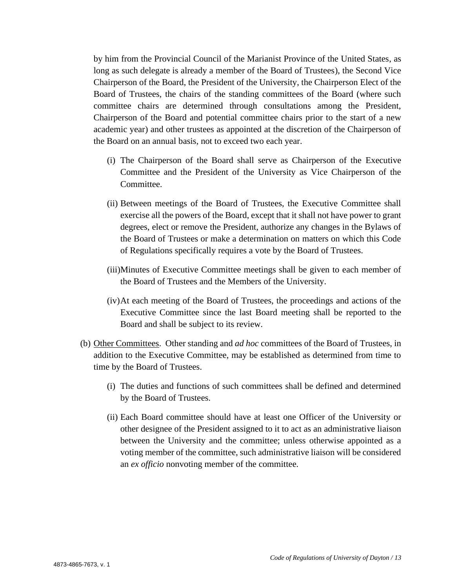by him from the Provincial Council of the Marianist Province of the United States, as long as such delegate is already a member of the Board of Trustees), the Second Vice Chairperson of the Board, the President of the University, the Chairperson Elect of the Board of Trustees, the chairs of the standing committees of the Board (where such committee chairs are determined through consultations among the President, Chairperson of the Board and potential committee chairs prior to the start of a new academic year) and other trustees as appointed at the discretion of the Chairperson of the Board on an annual basis, not to exceed two each year.

- (i) The Chairperson of the Board shall serve as Chairperson of the Executive Committee and the President of the University as Vice Chairperson of the Committee.
- (ii) Between meetings of the Board of Trustees, the Executive Committee shall exercise all the powers of the Board, except that it shall not have power to grant degrees, elect or remove the President, authorize any changes in the Bylaws of the Board of Trustees or make a determination on matters on which this Code of Regulations specifically requires a vote by the Board of Trustees.
- (iii)Minutes of Executive Committee meetings shall be given to each member of the Board of Trustees and the Members of the University.
- (iv)At each meeting of the Board of Trustees, the proceedings and actions of the Executive Committee since the last Board meeting shall be reported to the Board and shall be subject to its review.
- (b) Other Committees. Other standing and *ad hoc* committees of the Board of Trustees, in addition to the Executive Committee, may be established as determined from time to time by the Board of Trustees.
	- (i) The duties and functions of such committees shall be defined and determined by the Board of Trustees.
	- (ii) Each Board committee should have at least one Officer of the University or other designee of the President assigned to it to act as an administrative liaison between the University and the committee; unless otherwise appointed as a voting member of the committee, such administrative liaison will be considered an *ex officio* nonvoting member of the committee.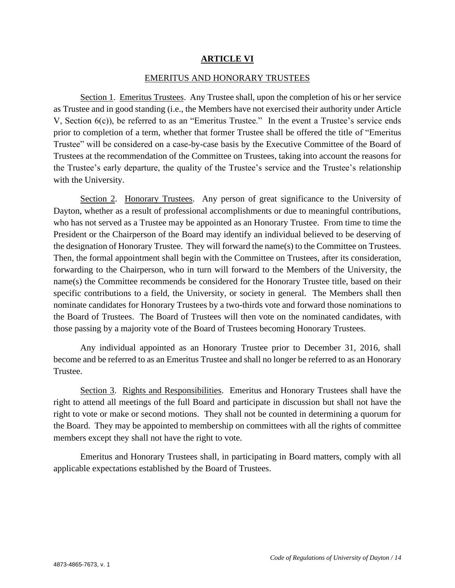#### **ARTICLE VI**

#### EMERITUS AND HONORARY TRUSTEES

Section 1. Emeritus Trustees. Any Trustee shall, upon the completion of his or her service as Trustee and in good standing (i.e., the Members have not exercised their authority under Article V, Section 6(c)), be referred to as an "Emeritus Trustee." In the event a Trustee's service ends prior to completion of a term, whether that former Trustee shall be offered the title of "Emeritus Trustee" will be considered on a case-by-case basis by the Executive Committee of the Board of Trustees at the recommendation of the Committee on Trustees, taking into account the reasons for the Trustee's early departure, the quality of the Trustee's service and the Trustee's relationship with the University.

Section 2. Honorary Trustees. Any person of great significance to the University of Dayton, whether as a result of professional accomplishments or due to meaningful contributions, who has not served as a Trustee may be appointed as an Honorary Trustee. From time to time the President or the Chairperson of the Board may identify an individual believed to be deserving of the designation of Honorary Trustee. They will forward the name(s) to the Committee on Trustees. Then, the formal appointment shall begin with the Committee on Trustees, after its consideration, forwarding to the Chairperson, who in turn will forward to the Members of the University, the name(s) the Committee recommends be considered for the Honorary Trustee title, based on their specific contributions to a field, the University, or society in general. The Members shall then nominate candidates for Honorary Trustees by a two-thirds vote and forward those nominations to the Board of Trustees. The Board of Trustees will then vote on the nominated candidates, with those passing by a majority vote of the Board of Trustees becoming Honorary Trustees.

Any individual appointed as an Honorary Trustee prior to December 31, 2016, shall become and be referred to as an Emeritus Trustee and shall no longer be referred to as an Honorary Trustee.

Section 3. Rights and Responsibilities. Emeritus and Honorary Trustees shall have the right to attend all meetings of the full Board and participate in discussion but shall not have the right to vote or make or second motions. They shall not be counted in determining a quorum for the Board. They may be appointed to membership on committees with all the rights of committee members except they shall not have the right to vote.

Emeritus and Honorary Trustees shall, in participating in Board matters, comply with all applicable expectations established by the Board of Trustees.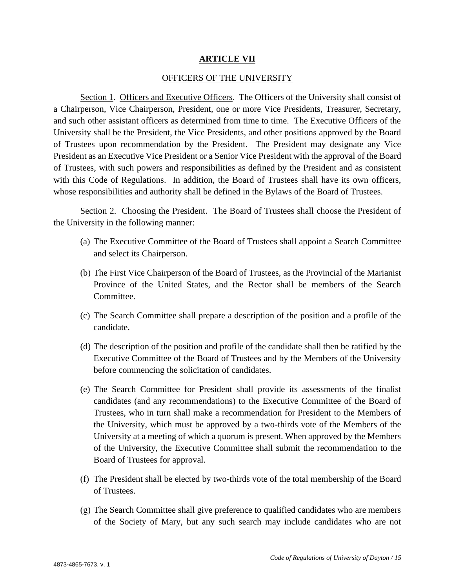#### **ARTICLE VII**

#### OFFICERS OF THE UNIVERSITY

Section 1. Officers and Executive Officers.The Officers of the University shall consist of a Chairperson, Vice Chairperson, President, one or more Vice Presidents, Treasurer, Secretary, and such other assistant officers as determined from time to time. The Executive Officers of the University shall be the President, the Vice Presidents, and other positions approved by the Board of Trustees upon recommendation by the President. The President may designate any Vice President as an Executive Vice President or a Senior Vice President with the approval of the Board of Trustees, with such powers and responsibilities as defined by the President and as consistent with this Code of Regulations. In addition, the Board of Trustees shall have its own officers, whose responsibilities and authority shall be defined in the Bylaws of the Board of Trustees.

Section 2. Choosing the President. The Board of Trustees shall choose the President of the University in the following manner:

- (a) The Executive Committee of the Board of Trustees shall appoint a Search Committee and select its Chairperson.
- (b) The First Vice Chairperson of the Board of Trustees, as the Provincial of the Marianist Province of the United States, and the Rector shall be members of the Search Committee.
- (c) The Search Committee shall prepare a description of the position and a profile of the candidate.
- (d) The description of the position and profile of the candidate shall then be ratified by the Executive Committee of the Board of Trustees and by the Members of the University before commencing the solicitation of candidates.
- (e) The Search Committee for President shall provide its assessments of the finalist candidates (and any recommendations) to the Executive Committee of the Board of Trustees, who in turn shall make a recommendation for President to the Members of the University, which must be approved by a two-thirds vote of the Members of the University at a meeting of which a quorum is present. When approved by the Members of the University, the Executive Committee shall submit the recommendation to the Board of Trustees for approval.
- (f) The President shall be elected by two-thirds vote of the total membership of the Board of Trustees.
- (g) The Search Committee shall give preference to qualified candidates who are members of the Society of Mary, but any such search may include candidates who are not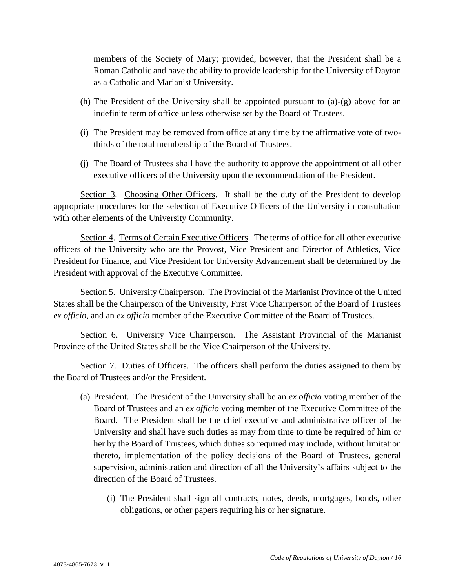members of the Society of Mary; provided, however, that the President shall be a Roman Catholic and have the ability to provide leadership for the University of Dayton as a Catholic and Marianist University.

- (h) The President of the University shall be appointed pursuant to (a)-(g) above for an indefinite term of office unless otherwise set by the Board of Trustees.
- (i) The President may be removed from office at any time by the affirmative vote of twothirds of the total membership of the Board of Trustees.
- (j) The Board of Trustees shall have the authority to approve the appointment of all other executive officers of the University upon the recommendation of the President.

Section 3. Choosing Other Officers. It shall be the duty of the President to develop appropriate procedures for the selection of Executive Officers of the University in consultation with other elements of the University Community.

Section 4. Terms of Certain Executive Officers. The terms of office for all other executive officers of the University who are the Provost, Vice President and Director of Athletics, Vice President for Finance, and Vice President for University Advancement shall be determined by the President with approval of the Executive Committee.

Section 5. University Chairperson. The Provincial of the Marianist Province of the United States shall be the Chairperson of the University, First Vice Chairperson of the Board of Trustees *ex officio,* and an *ex officio* member of the Executive Committee of the Board of Trustees.

Section 6. University Vice Chairperson. The Assistant Provincial of the Marianist Province of the United States shall be the Vice Chairperson of the University.

Section 7. Duties of Officers. The officers shall perform the duties assigned to them by the Board of Trustees and/or the President.

- (a) President. The President of the University shall be an *ex officio* voting member of the Board of Trustees and an *ex officio* voting member of the Executive Committee of the Board. The President shall be the chief executive and administrative officer of the University and shall have such duties as may from time to time be required of him or her by the Board of Trustees, which duties so required may include, without limitation thereto, implementation of the policy decisions of the Board of Trustees, general supervision, administration and direction of all the University's affairs subject to the direction of the Board of Trustees.
	- (i) The President shall sign all contracts, notes, deeds, mortgages, bonds, other obligations, or other papers requiring his or her signature.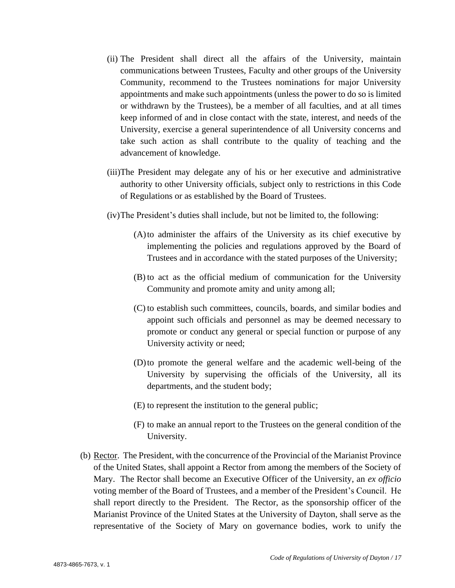- (ii) The President shall direct all the affairs of the University, maintain communications between Trustees, Faculty and other groups of the University Community, recommend to the Trustees nominations for major University appointments and make such appointments (unless the power to do so is limited or withdrawn by the Trustees), be a member of all faculties, and at all times keep informed of and in close contact with the state, interest, and needs of the University, exercise a general superintendence of all University concerns and take such action as shall contribute to the quality of teaching and the advancement of knowledge.
- (iii)The President may delegate any of his or her executive and administrative authority to other University officials, subject only to restrictions in this Code of Regulations or as established by the Board of Trustees.
- (iv)The President's duties shall include, but not be limited to, the following:
	- (A)to administer the affairs of the University as its chief executive by implementing the policies and regulations approved by the Board of Trustees and in accordance with the stated purposes of the University;
	- (B) to act as the official medium of communication for the University Community and promote amity and unity among all;
	- (C) to establish such committees, councils, boards, and similar bodies and appoint such officials and personnel as may be deemed necessary to promote or conduct any general or special function or purpose of any University activity or need;
	- (D)to promote the general welfare and the academic well-being of the University by supervising the officials of the University, all its departments, and the student body;
	- (E) to represent the institution to the general public;
	- (F) to make an annual report to the Trustees on the general condition of the University.
- (b) Rector. The President, with the concurrence of the Provincial of the Marianist Province of the United States, shall appoint a Rector from among the members of the Society of Mary. The Rector shall become an Executive Officer of the University, an *ex officio*  voting member of the Board of Trustees, and a member of the President's Council. He shall report directly to the President. The Rector, as the sponsorship officer of the Marianist Province of the United States at the University of Dayton, shall serve as the representative of the Society of Mary on governance bodies, work to unify the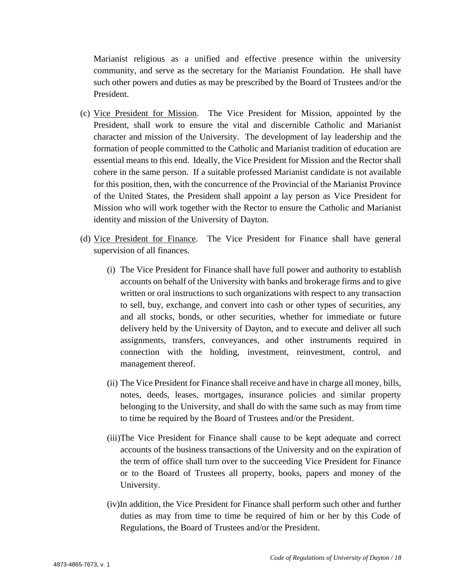Marianist religious as a unified and effective presence within the university community, and serve as the secretary for the Marianist Foundation. He shall have such other powers and duties as may be prescribed by the Board of Trustees and/or the President.

- (c) Vice President for Mission. The Vice President for Mission, appointed by the President, shall work to ensure the vital and discernible Catholic and Marianist character and mission of the University. The development of lay leadership and the formation of people committed to the Catholic and Marianist tradition of education are essential means to this end. Ideally, the Vice President for Mission and the Rector shall cohere in the same person. If a suitable professed Marianist candidate is not available for this position, then, with the concurrence of the Provincial of the Marianist Province of the United States, the President shall appoint a lay person as Vice President for Mission who will work together with the Rector to ensure the Catholic and Marianist identity and mission of the University of Dayton.
- (d) Vice President for Finance. The Vice President for Finance shall have general supervision of all finances.
	- (i) The Vice President for Finance shall have full power and authority to establish accounts on behalf of the University with banks and brokerage firms and to give written or oral instructions to such organizations with respect to any transaction to sell, buy, exchange, and convert into cash or other types of securities, any and all stocks, bonds, or other securities, whether for immediate or future delivery held by the University of Dayton, and to execute and deliver all such assignments, transfers, conveyances, and other instruments required in connection with the holding, investment, reinvestment, control, and management thereof.
	- (ii) The Vice President for Finance shall receive and have in charge all money, bills, notes, deeds, leases, mortgages, insurance policies and similar property belonging to the University, and shall do with the same such as may from time to time be required by the Board of Trustees and/or the President.
	- (iii)The Vice President for Finance shall cause to be kept adequate and correct accounts of the business transactions of the University and on the expiration of the term of office shall turn over to the succeeding Vice President for Finance or to the Board of Trustees all property, books, papers and money of the University.
	- (iv)In addition, the Vice President for Finance shall perform such other and further duties as may from time to time be required of him or her by this Code of Regulations, the Board of Trustees and/or the President.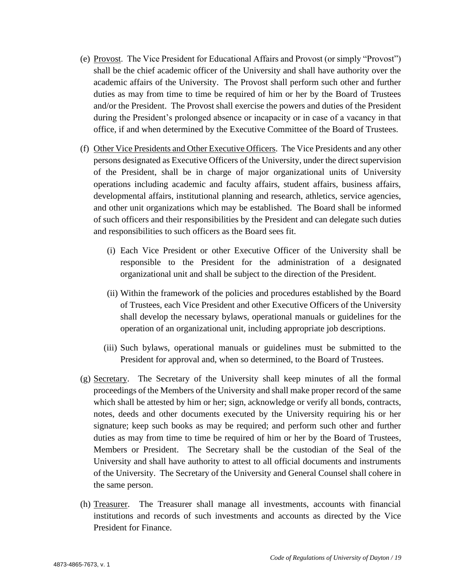- (e) Provost. The Vice President for Educational Affairs and Provost (or simply "Provost") shall be the chief academic officer of the University and shall have authority over the academic affairs of the University. The Provost shall perform such other and further duties as may from time to time be required of him or her by the Board of Trustees and/or the President. The Provost shall exercise the powers and duties of the President during the President's prolonged absence or incapacity or in case of a vacancy in that office, if and when determined by the Executive Committee of the Board of Trustees.
- (f) Other Vice Presidents and Other Executive Officers. The Vice Presidents and any other persons designated as Executive Officers of the University, under the direct supervision of the President, shall be in charge of major organizational units of University operations including academic and faculty affairs, student affairs, business affairs, developmental affairs, institutional planning and research, athletics, service agencies, and other unit organizations which may be established. The Board shall be informed of such officers and their responsibilities by the President and can delegate such duties and responsibilities to such officers as the Board sees fit.
	- (i) Each Vice President or other Executive Officer of the University shall be responsible to the President for the administration of a designated organizational unit and shall be subject to the direction of the President.
	- (ii) Within the framework of the policies and procedures established by the Board of Trustees, each Vice President and other Executive Officers of the University shall develop the necessary bylaws, operational manuals or guidelines for the operation of an organizational unit, including appropriate job descriptions.
	- (iii) Such bylaws, operational manuals or guidelines must be submitted to the President for approval and, when so determined, to the Board of Trustees.
- (g) Secretary. The Secretary of the University shall keep minutes of all the formal proceedings of the Members of the University and shall make proper record of the same which shall be attested by him or her; sign, acknowledge or verify all bonds, contracts, notes, deeds and other documents executed by the University requiring his or her signature; keep such books as may be required; and perform such other and further duties as may from time to time be required of him or her by the Board of Trustees, Members or President. The Secretary shall be the custodian of the Seal of the University and shall have authority to attest to all official documents and instruments of the University. The Secretary of the University and General Counsel shall cohere in the same person.
- (h) Treasurer. The Treasurer shall manage all investments, accounts with financial institutions and records of such investments and accounts as directed by the Vice President for Finance.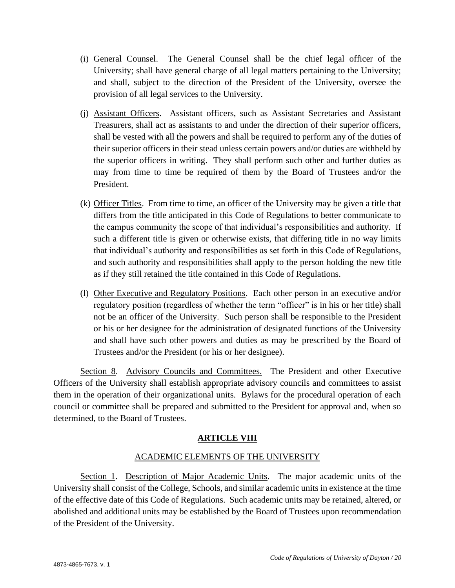- (i) General Counsel. The General Counsel shall be the chief legal officer of the University; shall have general charge of all legal matters pertaining to the University; and shall, subject to the direction of the President of the University, oversee the provision of all legal services to the University.
- (j) Assistant Officers. Assistant officers, such as Assistant Secretaries and Assistant Treasurers, shall act as assistants to and under the direction of their superior officers, shall be vested with all the powers and shall be required to perform any of the duties of their superior officers in their stead unless certain powers and/or duties are withheld by the superior officers in writing. They shall perform such other and further duties as may from time to time be required of them by the Board of Trustees and/or the President.
- (k) Officer Titles. From time to time, an officer of the University may be given a title that differs from the title anticipated in this Code of Regulations to better communicate to the campus community the scope of that individual's responsibilities and authority. If such a different title is given or otherwise exists, that differing title in no way limits that individual's authority and responsibilities as set forth in this Code of Regulations, and such authority and responsibilities shall apply to the person holding the new title as if they still retained the title contained in this Code of Regulations.
- (l) Other Executive and Regulatory Positions. Each other person in an executive and/or regulatory position (regardless of whether the term "officer" is in his or her title) shall not be an officer of the University. Such person shall be responsible to the President or his or her designee for the administration of designated functions of the University and shall have such other powers and duties as may be prescribed by the Board of Trustees and/or the President (or his or her designee).

Section 8. Advisory Councils and Committees. The President and other Executive Officers of the University shall establish appropriate advisory councils and committees to assist them in the operation of their organizational units. Bylaws for the procedural operation of each council or committee shall be prepared and submitted to the President for approval and, when so determined, to the Board of Trustees.

# **ARTICLE VIII**

# ACADEMIC ELEMENTS OF THE UNIVERSITY

Section 1. Description of Major Academic Units. The major academic units of the University shall consist of the College, Schools, and similar academic units in existence at the time of the effective date of this Code of Regulations. Such academic units may be retained, altered, or abolished and additional units may be established by the Board of Trustees upon recommendation of the President of the University.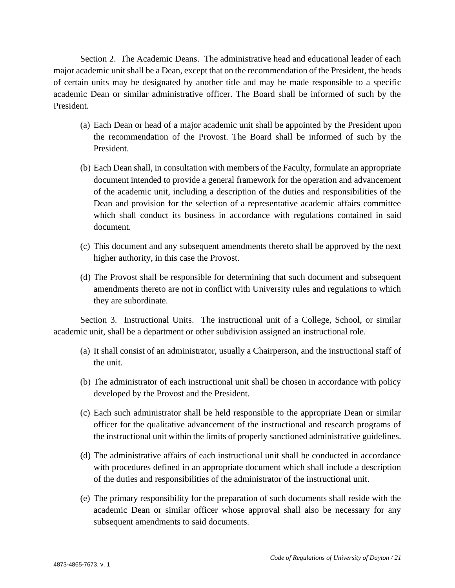Section 2. The Academic Deans. The administrative head and educational leader of each major academic unit shall be a Dean, except that on the recommendation of the President, the heads of certain units may be designated by another title and may be made responsible to a specific academic Dean or similar administrative officer. The Board shall be informed of such by the President.

- (a) Each Dean or head of a major academic unit shall be appointed by the President upon the recommendation of the Provost. The Board shall be informed of such by the President.
- (b) Each Dean shall, in consultation with members of the Faculty, formulate an appropriate document intended to provide a general framework for the operation and advancement of the academic unit, including a description of the duties and responsibilities of the Dean and provision for the selection of a representative academic affairs committee which shall conduct its business in accordance with regulations contained in said document.
- (c) This document and any subsequent amendments thereto shall be approved by the next higher authority, in this case the Provost.
- (d) The Provost shall be responsible for determining that such document and subsequent amendments thereto are not in conflict with University rules and regulations to which they are subordinate.

Section 3. Instructional Units. The instructional unit of a College, School, or similar academic unit, shall be a department or other subdivision assigned an instructional role.

- (a) It shall consist of an administrator, usually a Chairperson, and the instructional staff of the unit.
- (b) The administrator of each instructional unit shall be chosen in accordance with policy developed by the Provost and the President.
- (c) Each such administrator shall be held responsible to the appropriate Dean or similar officer for the qualitative advancement of the instructional and research programs of the instructional unit within the limits of properly sanctioned administrative guidelines.
- (d) The administrative affairs of each instructional unit shall be conducted in accordance with procedures defined in an appropriate document which shall include a description of the duties and responsibilities of the administrator of the instructional unit.
- (e) The primary responsibility for the preparation of such documents shall reside with the academic Dean or similar officer whose approval shall also be necessary for any subsequent amendments to said documents.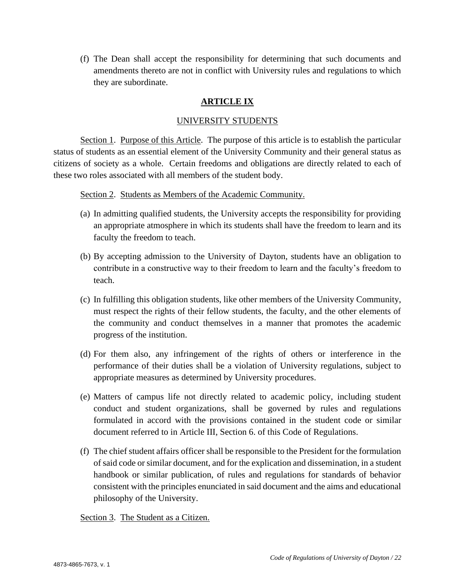(f) The Dean shall accept the responsibility for determining that such documents and amendments thereto are not in conflict with University rules and regulations to which they are subordinate.

# **ARTICLE IX**

#### UNIVERSITY STUDENTS

Section 1. Purpose of this Article. The purpose of this article is to establish the particular status of students as an essential element of the University Community and their general status as citizens of society as a whole. Certain freedoms and obligations are directly related to each of these two roles associated with all members of the student body.

Section 2. Students as Members of the Academic Community.

- (a) In admitting qualified students, the University accepts the responsibility for providing an appropriate atmosphere in which its students shall have the freedom to learn and its faculty the freedom to teach.
- (b) By accepting admission to the University of Dayton, students have an obligation to contribute in a constructive way to their freedom to learn and the faculty's freedom to teach.
- (c) In fulfilling this obligation students, like other members of the University Community, must respect the rights of their fellow students, the faculty, and the other elements of the community and conduct themselves in a manner that promotes the academic progress of the institution.
- (d) For them also, any infringement of the rights of others or interference in the performance of their duties shall be a violation of University regulations, subject to appropriate measures as determined by University procedures.
- (e) Matters of campus life not directly related to academic policy, including student conduct and student organizations, shall be governed by rules and regulations formulated in accord with the provisions contained in the student code or similar document referred to in Article III, Section 6. of this Code of Regulations.
- (f) The chief student affairs officer shall be responsible to the President for the formulation of said code or similar document, and for the explication and dissemination, in a student handbook or similar publication, of rules and regulations for standards of behavior consistent with the principles enunciated in said document and the aims and educational philosophy of the University.

Section 3. The Student as a Citizen.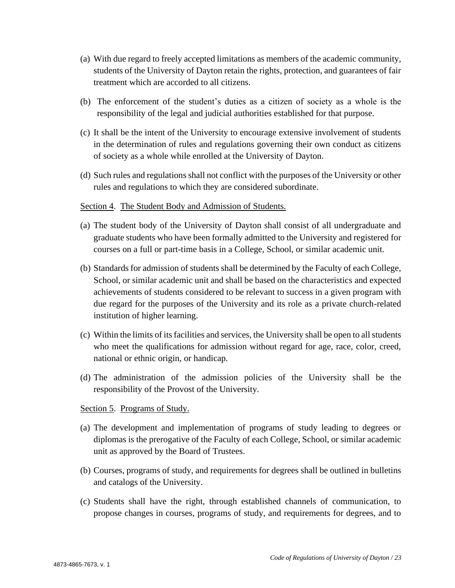- (a) With due regard to freely accepted limitations as members of the academic community, students of the University of Dayton retain the rights, protection, and guarantees of fair treatment which are accorded to all citizens.
- (b) The enforcement of the student's duties as a citizen of society as a whole is the responsibility of the legal and judicial authorities established for that purpose.
- (c) It shall be the intent of the University to encourage extensive involvement of students in the determination of rules and regulations governing their own conduct as citizens of society as a whole while enrolled at the University of Dayton.
- (d) Such rules and regulations shall not conflict with the purposes of the University or other rules and regulations to which they are considered subordinate.

#### Section 4. The Student Body and Admission of Students.

- (a) The student body of the University of Dayton shall consist of all undergraduate and graduate students who have been formally admitted to the University and registered for courses on a full or part-time basis in a College, School, or similar academic unit.
- (b) Standards for admission of students shall be determined by the Faculty of each College, School, or similar academic unit and shall be based on the characteristics and expected achievements of students considered to be relevant to success in a given program with due regard for the purposes of the University and its role as a private church-related institution of higher learning.
- (c) Within the limits of its facilities and services, the University shall be open to all students who meet the qualifications for admission without regard for age, race, color, creed, national or ethnic origin, or handicap.
- (d) The administration of the admission policies of the University shall be the responsibility of the Provost of the University.

#### Section 5. Programs of Study.

- (a) The development and implementation of programs of study leading to degrees or diplomas is the prerogative of the Faculty of each College, School, or similar academic unit as approved by the Board of Trustees.
- (b) Courses, programs of study, and requirements for degrees shall be outlined in bulletins and catalogs of the University.
- (c) Students shall have the right, through established channels of communication, to propose changes in courses, programs of study, and requirements for degrees, and to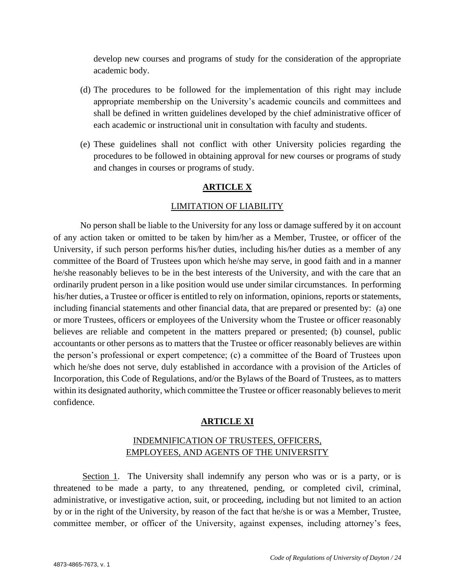develop new courses and programs of study for the consideration of the appropriate academic body.

- (d) The procedures to be followed for the implementation of this right may include appropriate membership on the University's academic councils and committees and shall be defined in written guidelines developed by the chief administrative officer of each academic or instructional unit in consultation with faculty and students.
- (e) These guidelines shall not conflict with other University policies regarding the procedures to be followed in obtaining approval for new courses or programs of study and changes in courses or programs of study.

# **ARTICLE X**

#### LIMITATION OF LIABILITY

No person shall be liable to the University for any loss or damage suffered by it on account of any action taken or omitted to be taken by him/her as a Member, Trustee, or officer of the University, if such person performs his/her duties, including his/her duties as a member of any committee of the Board of Trustees upon which he/she may serve, in good faith and in a manner he/she reasonably believes to be in the best interests of the University, and with the care that an ordinarily prudent person in a like position would use under similar circumstances. In performing his/her duties, a Trustee or officer is entitled to rely on information, opinions, reports or statements, including financial statements and other financial data, that are prepared or presented by: (a) one or more Trustees, officers or employees of the University whom the Trustee or officer reasonably believes are reliable and competent in the matters prepared or presented; (b) counsel, public accountants or other persons as to matters that the Trustee or officer reasonably believes are within the person's professional or expert competence; (c) a committee of the Board of Trustees upon which he/she does not serve, duly established in accordance with a provision of the Articles of Incorporation, this Code of Regulations, and/or the Bylaws of the Board of Trustees, as to matters within its designated authority, which committee the Trustee or officer reasonably believes to merit confidence.

# **ARTICLE XI**

# INDEMNIFICATION OF TRUSTEES, OFFICERS, EMPLOYEES, AND AGENTS OF THE UNIVERSITY

Section 1. The University shall indemnify any person who was or is a party, or is threatened to be made a party, to any threatened, pending, or completed civil, criminal, administrative, or investigative action, suit, or proceeding, including but not limited to an action by or in the right of the University, by reason of the fact that he/she is or was a Member, Trustee, committee member, or officer of the University, against expenses, including attorney's fees,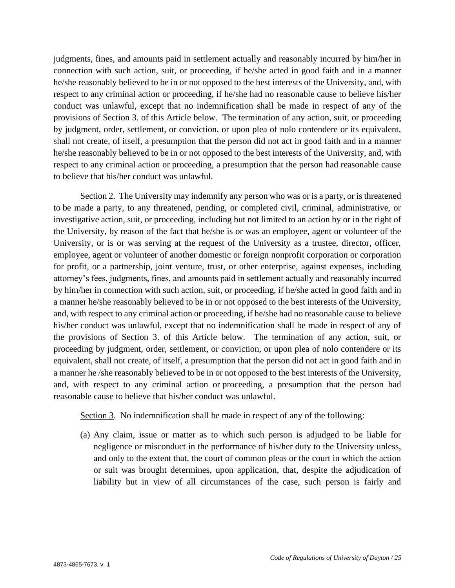judgments, fines, and amounts paid in settlement actually and reasonably incurred by him/her in connection with such action, suit, or proceeding, if he/she acted in good faith and in a manner he/she reasonably believed to be in or not opposed to the best interests of the University, and, with respect to any criminal action or proceeding, if he/she had no reasonable cause to believe his/her conduct was unlawful, except that no indemnification shall be made in respect of any of the provisions of Section 3. of this Article below. The termination of any action, suit, or proceeding by judgment, order, settlement, or conviction, or upon plea of nolo contendere or its equivalent, shall not create, of itself, a presumption that the person did not act in good faith and in a manner he/she reasonably believed to be in or not opposed to the best interests of the University, and, with respect to any criminal action or proceeding, a presumption that the person had reasonable cause to believe that his/her conduct was unlawful.

Section 2. The University may indemnify any person who was or is a party, or is threatened to be made a party, to any threatened, pending, or completed civil, criminal, administrative, or investigative action, suit, or proceeding, including but not limited to an action by or in the right of the University, by reason of the fact that he/she is or was an employee, agent or volunteer of the University, or is or was serving at the request of the University as a trustee, director, officer, employee, agent or volunteer of another domestic or foreign nonprofit corporation or corporation for profit, or a partnership, joint venture, trust, or other enterprise, against expenses, including attorney's fees, judgments, fines, and amounts paid in settlement actually and reasonably incurred by him/her in connection with such action, suit, or proceeding, if he/she acted in good faith and in a manner he/she reasonably believed to be in or not opposed to the best interests of the University, and, with respect to any criminal action or proceeding, if he/she had no reasonable cause to believe his/her conduct was unlawful, except that no indemnification shall be made in respect of any of the provisions of Section 3. of this Article below. The termination of any action, suit, or proceeding by judgment, order, settlement, or conviction, or upon plea of nolo contendere or its equivalent, shall not create, of itself, a presumption that the person did not act in good faith and in a manner he /she reasonably believed to be in or not opposed to the best interests of the University, and, with respect to any criminal action or proceeding, a presumption that the person had reasonable cause to believe that his/her conduct was unlawful.

Section 3. No indemnification shall be made in respect of any of the following:

(a) Any claim, issue or matter as to which such person is adjudged to be liable for negligence or misconduct in the performance of his/her duty to the University unless, and only to the extent that, the court of common pleas or the court in which the action or suit was brought determines, upon application, that, despite the adjudication of liability but in view of all circumstances of the case, such person is fairly and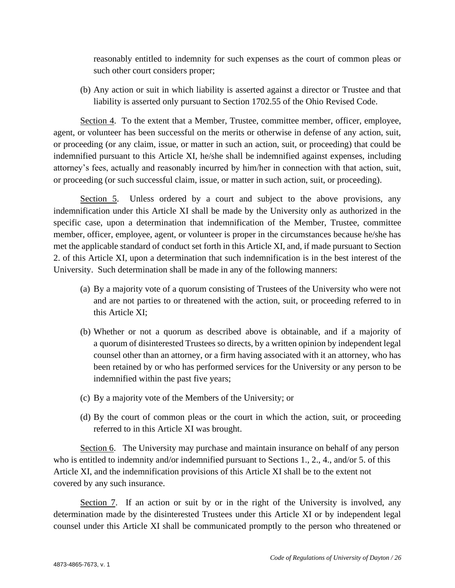reasonably entitled to indemnity for such expenses as the court of common pleas or such other court considers proper;

(b) Any action or suit in which liability is asserted against a director or Trustee and that liability is asserted only pursuant to Section 1702.55 of the Ohio Revised Code.

Section 4. To the extent that a Member, Trustee, committee member, officer, employee, agent, or volunteer has been successful on the merits or otherwise in defense of any action, suit, or proceeding (or any claim, issue, or matter in such an action, suit, or proceeding) that could be indemnified pursuant to this Article XI, he/she shall be indemnified against expenses, including attorney's fees, actually and reasonably incurred by him/her in connection with that action, suit, or proceeding (or such successful claim, issue, or matter in such action, suit, or proceeding).

Section 5. Unless ordered by a court and subject to the above provisions, any indemnification under this Article XI shall be made by the University only as authorized in the specific case, upon a determination that indemnification of the Member, Trustee, committee member, officer, employee, agent, or volunteer is proper in the circumstances because he/she has met the applicable standard of conduct set forth in this Article XI, and, if made pursuant to Section 2. of this Article XI, upon a determination that such indemnification is in the best interest of the University. Such determination shall be made in any of the following manners:

- (a) By a majority vote of a quorum consisting of Trustees of the University who were not and are not parties to or threatened with the action, suit, or proceeding referred to in this Article XI;
- (b) Whether or not a quorum as described above is obtainable, and if a majority of a quorum of disinterested Trustees so directs, by a written opinion by independent legal counsel other than an attorney, or a firm having associated with it an attorney, who has been retained by or who has performed services for the University or any person to be indemnified within the past five years;
- (c) By a majority vote of the Members of the University; or
- (d) By the court of common pleas or the court in which the action, suit, or proceeding referred to in this Article XI was brought.

Section 6. The University may purchase and maintain insurance on behalf of any person who is entitled to indemnity and/or indemnified pursuant to Sections 1., 2., 4., and/or 5. of this Article XI, and the indemnification provisions of this Article XI shall be to the extent not covered by any such insurance.

Section 7. If an action or suit by or in the right of the University is involved, any determination made by the disinterested Trustees under this Article XI or by independent legal counsel under this Article XI shall be communicated promptly to the person who threatened or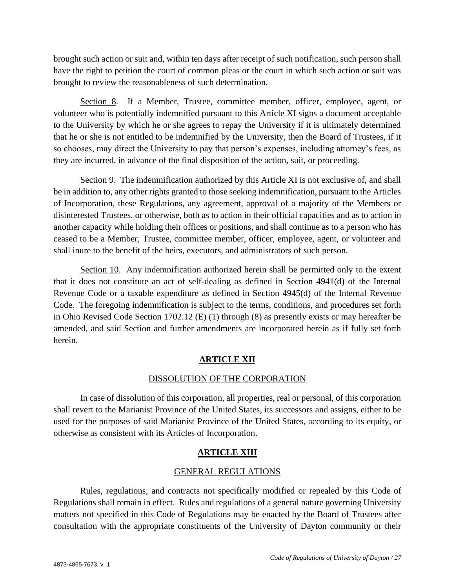brought such action or suit and, within ten days after receipt of such notification, such person shall have the right to petition the court of common pleas or the court in which such action or suit was brought to review the reasonableness of such determination.

Section 8. If a Member, Trustee, committee member, officer, employee, agent, or volunteer who is potentially indemnified pursuant to this Article XI signs a document acceptable to the University by which he or she agrees to repay the University if it is ultimately determined that he or she is not entitled to be indemnified by the University, then the Board of Trustees, if it so chooses, may direct the University to pay that person's expenses, including attorney's fees, as they are incurred, in advance of the final disposition of the action, suit, or proceeding.

Section 9. The indemnification authorized by this Article XI is not exclusive of, and shall be in addition to, any other rights granted to those seeking indemnification, pursuant to the Articles of Incorporation, these Regulations, any agreement, approval of a majority of the Members or disinterested Trustees, or otherwise, both as to action in their official capacities and as to action in another capacity while holding their offices or positions, and shall continue as to a person who has ceased to be a Member, Trustee, committee member, officer, employee, agent, or volunteer and shall inure to the benefit of the heirs, executors, and administrators of such person.

Section 10. Any indemnification authorized herein shall be permitted only to the extent that it does not constitute an act of self-dealing as defined in Section 4941(d) of the Internal Revenue Code or a taxable expenditure as defined in Section 4945(d) of the Internal Revenue Code. The foregoing indemnification is subject to the terms, conditions, and procedures set forth in Ohio Revised Code Section 1702.12 (E) (1) through (8) as presently exists or may hereafter be amended, and said Section and further amendments are incorporated herein as if fully set forth herein.

# **ARTICLE XII**

# DISSOLUTION OF THE CORPORATION

In case of dissolution of this corporation, all properties, real or personal, of this corporation shall revert to the Marianist Province of the United States, its successors and assigns, either to be used for the purposes of said Marianist Province of the United States, according to its equity, or otherwise as consistent with its Articles of Incorporation.

# **ARTICLE XIII**

# GENERAL REGULATIONS

Rules, regulations, and contracts not specifically modified or repealed by this Code of Regulations shall remain in effect. Rules and regulations of a general nature governing University matters not specified in this Code of Regulations may be enacted by the Board of Trustees after consultation with the appropriate constituents of the University of Dayton community or their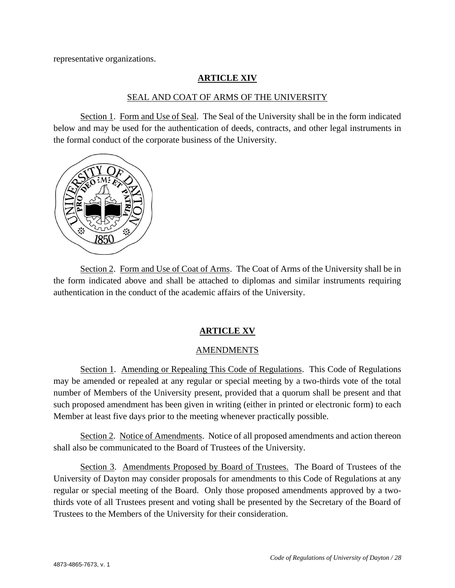representative organizations.

#### **ARTICLE XIV**

#### SEAL AND COAT OF ARMS OF THE UNIVERSITY

Section 1. Form and Use of Seal. The Seal of the University shall be in the form indicated below and may be used for the authentication of deeds, contracts, and other legal instruments in the formal conduct of the corporate business of the University.



Section 2. Form and Use of Coat of Arms. The Coat of Arms of the University shall be in the form indicated above and shall be attached to diplomas and similar instruments requiring authentication in the conduct of the academic affairs of the University.

#### **ARTICLE XV**

#### AMENDMENTS

Section 1. Amending or Repealing This Code of Regulations. This Code of Regulations may be amended or repealed at any regular or special meeting by a two-thirds vote of the total number of Members of the University present, provided that a quorum shall be present and that such proposed amendment has been given in writing (either in printed or electronic form) to each Member at least five days prior to the meeting whenever practically possible.

Section 2. Notice of Amendments. Notice of all proposed amendments and action thereon shall also be communicated to the Board of Trustees of the University.

Section 3. Amendments Proposed by Board of Trustees. The Board of Trustees of the University of Dayton may consider proposals for amendments to this Code of Regulations at any regular or special meeting of the Board. Only those proposed amendments approved by a twothirds vote of all Trustees present and voting shall be presented by the Secretary of the Board of Trustees to the Members of the University for their consideration.